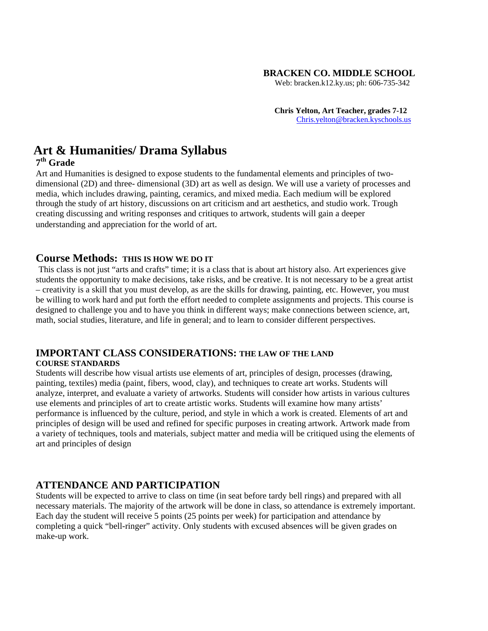### **BRACKEN CO. MIDDLE SCHOOL**

Web: bracken.k12.ky.us; ph: 606-735-342

**Chris Yelton, Art Teacher, grades 7-12** [Chris.yelton@bracken.kyschools.us](mailto:Chris.yelton@bracken.kyschools.us)

# **Art & Humanities/ Drama Syllabus**

### **7th Grade**

Art and Humanities is designed to expose students to the fundamental elements and principles of twodimensional (2D) and three- dimensional (3D) art as well as design. We will use a variety of processes and media, which includes drawing, painting, ceramics, and mixed media. Each medium will be explored through the study of art history, discussions on art criticism and art aesthetics, and studio work. Trough creating discussing and writing responses and critiques to artwork, students will gain a deeper understanding and appreciation for the world of art.

### **Course Methods: THIS IS HOW WE DO IT**

This class is not just "arts and crafts" time; it is a class that is about art history also. Art experiences give students the opportunity to make decisions, take risks, and be creative. It is not necessary to be a great artist – creativity is a skill that you must develop, as are the skills for drawing, painting, etc. However, you must be willing to work hard and put forth the effort needed to complete assignments and projects. This course is designed to challenge you and to have you think in different ways; make connections between science, art, math, social studies, literature, and life in general; and to learn to consider different perspectives.

#### **IMPORTANT CLASS CONSIDERATIONS: THE LAW OF THE LAND COURSE STANDARDS**

Students will describe how visual artists use elements of art, principles of design, processes (drawing, painting, textiles) media (paint, fibers, wood, clay), and techniques to create art works. Students will analyze, interpret, and evaluate a variety of artworks. Students will consider how artists in various cultures use elements and principles of art to create artistic works. Students will examine how many artists' performance is influenced by the culture, period, and style in which a work is created. Elements of art and principles of design will be used and refined for specific purposes in creating artwork. Artwork made from a variety of techniques, tools and materials, subject matter and media will be critiqued using the elements of art and principles of design

### **ATTENDANCE AND PARTICIPATION**

Students will be expected to arrive to class on time (in seat before tardy bell rings) and prepared with all necessary materials. The majority of the artwork will be done in class, so attendance is extremely important. Each day the student will receive 5 points (25 points per week) for participation and attendance by completing a quick "bell-ringer" activity. Only students with excused absences will be given grades on make-up work.